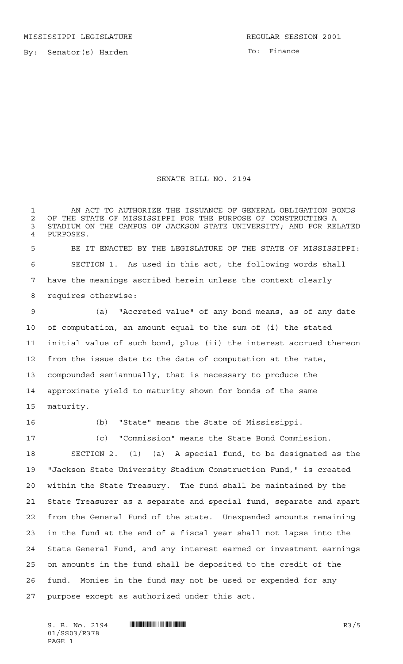To: Finance

## SENATE BILL NO. 2194

 AN ACT TO AUTHORIZE THE ISSUANCE OF GENERAL OBLIGATION BONDS 2 OF THE STATE OF MISSISSIPPI FOR THE PURPOSE OF CONSTRUCTING A<br>3 STADIUM ON THE CAMPUS OF JACKSON STATE UNIVERSITY: AND FOR REI STADIUM ON THE CAMPUS OF JACKSON STATE UNIVERSITY; AND FOR RELATED PURPOSES. BE IT ENACTED BY THE LEGISLATURE OF THE STATE OF MISSISSIPPI: SECTION 1. As used in this act, the following words shall have the meanings ascribed herein unless the context clearly requires otherwise: (a) "Accreted value" of any bond means, as of any date of computation, an amount equal to the sum of (i) the stated initial value of such bond, plus (ii) the interest accrued thereon from the issue date to the date of computation at the rate, compounded semiannually, that is necessary to produce the approximate yield to maturity shown for bonds of the same maturity.

(b) "State" means the State of Mississippi.

 (c) "Commission" means the State Bond Commission. SECTION 2. (1) (a) A special fund, to be designated as the "Jackson State University Stadium Construction Fund," is created within the State Treasury. The fund shall be maintained by the State Treasurer as a separate and special fund, separate and apart from the General Fund of the state. Unexpended amounts remaining in the fund at the end of a fiscal year shall not lapse into the State General Fund, and any interest earned or investment earnings on amounts in the fund shall be deposited to the credit of the fund. Monies in the fund may not be used or expended for any purpose except as authorized under this act.

 $S. B. No. 2194$   $\blacksquare$   $\blacksquare$   $\blacksquare$   $\blacksquare$   $\blacksquare$   $\blacksquare$   $\blacksquare$   $\blacksquare$   $\blacksquare$   $\blacksquare$   $\blacksquare$   $\blacksquare$   $\blacksquare$   $\blacksquare$   $\blacksquare$   $\blacksquare$   $\blacksquare$   $\blacksquare$   $\blacksquare$   $\blacksquare$   $\blacksquare$   $\blacksquare$   $\blacksquare$   $\blacksquare$   $\blacksquare$   $\blacksquare$   $\blacksquare$   $\blacksquare$   $\blacksquare$   $\blacks$ 01/SS03/R378 PAGE 1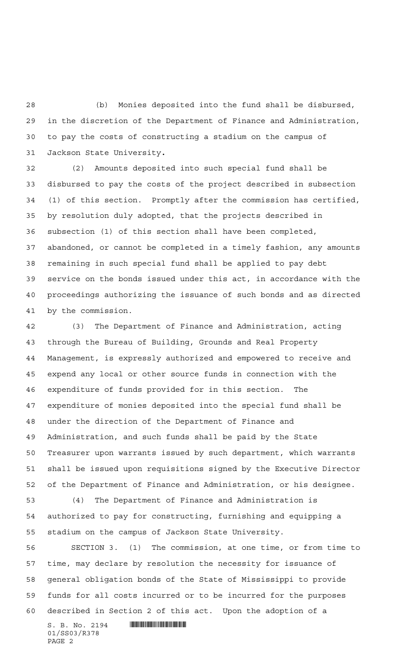(b) Monies deposited into the fund shall be disbursed, in the discretion of the Department of Finance and Administration, to pay the costs of constructing a stadium on the campus of Jackson State University**.**

 (2) Amounts deposited into such special fund shall be disbursed to pay the costs of the project described in subsection (1) of this section. Promptly after the commission has certified, by resolution duly adopted, that the projects described in subsection (1) of this section shall have been completed, abandoned, or cannot be completed in a timely fashion, any amounts remaining in such special fund shall be applied to pay debt service on the bonds issued under this act, in accordance with the proceedings authorizing the issuance of such bonds and as directed by the commission.

 (3) The Department of Finance and Administration, acting through the Bureau of Building, Grounds and Real Property Management, is expressly authorized and empowered to receive and expend any local or other source funds in connection with the expenditure of funds provided for in this section. The expenditure of monies deposited into the special fund shall be under the direction of the Department of Finance and Administration, and such funds shall be paid by the State Treasurer upon warrants issued by such department, which warrants shall be issued upon requisitions signed by the Executive Director of the Department of Finance and Administration, or his designee.

 (4) The Department of Finance and Administration is authorized to pay for constructing, furnishing and equipping a stadium on the campus of Jackson State University.

 SECTION 3. (1) The commission, at one time, or from time to time, may declare by resolution the necessity for issuance of general obligation bonds of the State of Mississippi to provide funds for all costs incurred or to be incurred for the purposes described in Section 2 of this act. Upon the adoption of a

 $S. B. No. 2194$  . The set of  $\mathbb S$  and  $\mathbb S$  and  $\mathbb S$  and  $\mathbb S$ 01/SS03/R378 PAGE 2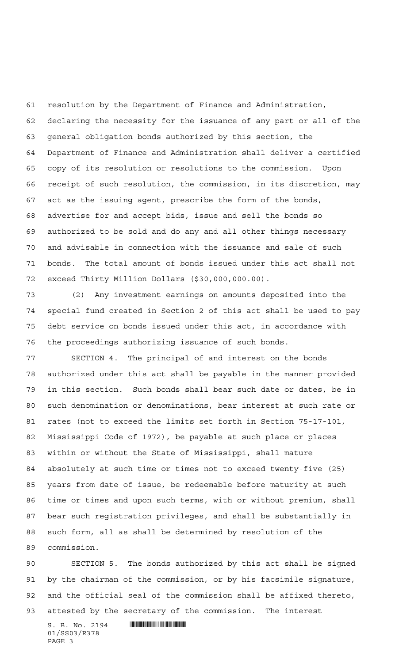resolution by the Department of Finance and Administration, declaring the necessity for the issuance of any part or all of the general obligation bonds authorized by this section, the Department of Finance and Administration shall deliver a certified copy of its resolution or resolutions to the commission. Upon receipt of such resolution, the commission, in its discretion, may act as the issuing agent, prescribe the form of the bonds, advertise for and accept bids, issue and sell the bonds so authorized to be sold and do any and all other things necessary and advisable in connection with the issuance and sale of such bonds. The total amount of bonds issued under this act shall not exceed Thirty Million Dollars (\$30,000,000.00).

 (2) Any investment earnings on amounts deposited into the special fund created in Section 2 of this act shall be used to pay debt service on bonds issued under this act, in accordance with the proceedings authorizing issuance of such bonds.

 SECTION 4. The principal of and interest on the bonds authorized under this act shall be payable in the manner provided in this section. Such bonds shall bear such date or dates, be in such denomination or denominations, bear interest at such rate or rates (not to exceed the limits set forth in Section 75-17-101, Mississippi Code of 1972), be payable at such place or places within or without the State of Mississippi, shall mature absolutely at such time or times not to exceed twenty-five (25) years from date of issue, be redeemable before maturity at such time or times and upon such terms, with or without premium, shall bear such registration privileges, and shall be substantially in such form, all as shall be determined by resolution of the commission.

 SECTION 5. The bonds authorized by this act shall be signed by the chairman of the commission, or by his facsimile signature, and the official seal of the commission shall be affixed thereto, attested by the secretary of the commission. The interest

 $S. B. No. 2194$  . The set of  $\mathbb S$  and  $\mathbb S$  and  $\mathbb S$  and  $\mathbb S$ 01/SS03/R378 PAGE 3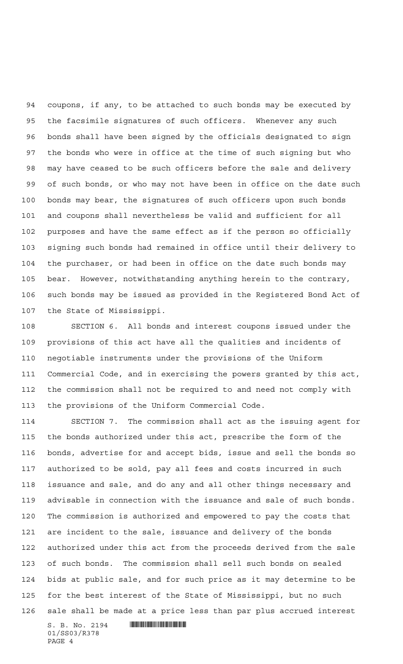coupons, if any, to be attached to such bonds may be executed by the facsimile signatures of such officers. Whenever any such bonds shall have been signed by the officials designated to sign the bonds who were in office at the time of such signing but who may have ceased to be such officers before the sale and delivery of such bonds, or who may not have been in office on the date such bonds may bear, the signatures of such officers upon such bonds and coupons shall nevertheless be valid and sufficient for all purposes and have the same effect as if the person so officially signing such bonds had remained in office until their delivery to the purchaser, or had been in office on the date such bonds may bear. However, notwithstanding anything herein to the contrary, such bonds may be issued as provided in the Registered Bond Act of the State of Mississippi.

 SECTION 6. All bonds and interest coupons issued under the provisions of this act have all the qualities and incidents of negotiable instruments under the provisions of the Uniform Commercial Code, and in exercising the powers granted by this act, the commission shall not be required to and need not comply with the provisions of the Uniform Commercial Code.

 SECTION 7. The commission shall act as the issuing agent for the bonds authorized under this act, prescribe the form of the bonds, advertise for and accept bids, issue and sell the bonds so authorized to be sold, pay all fees and costs incurred in such issuance and sale, and do any and all other things necessary and advisable in connection with the issuance and sale of such bonds. The commission is authorized and empowered to pay the costs that are incident to the sale, issuance and delivery of the bonds authorized under this act from the proceeds derived from the sale of such bonds. The commission shall sell such bonds on sealed bids at public sale, and for such price as it may determine to be for the best interest of the State of Mississippi, but no such sale shall be made at a price less than par plus accrued interest

 $S. B. No. 2194$  . We say the set of  $S. B. No. 2194$ 01/SS03/R378 PAGE 4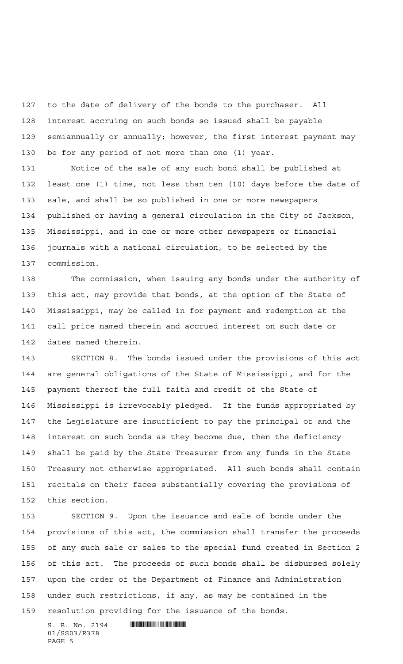to the date of delivery of the bonds to the purchaser. All interest accruing on such bonds so issued shall be payable semiannually or annually; however, the first interest payment may be for any period of not more than one (1) year.

 Notice of the sale of any such bond shall be published at least one (1) time, not less than ten (10) days before the date of sale, and shall be so published in one or more newspapers published or having a general circulation in the City of Jackson, Mississippi, and in one or more other newspapers or financial journals with a national circulation, to be selected by the commission.

 The commission, when issuing any bonds under the authority of this act, may provide that bonds, at the option of the State of Mississippi, may be called in for payment and redemption at the call price named therein and accrued interest on such date or dates named therein.

 SECTION 8. The bonds issued under the provisions of this act are general obligations of the State of Mississippi, and for the payment thereof the full faith and credit of the State of Mississippi is irrevocably pledged. If the funds appropriated by the Legislature are insufficient to pay the principal of and the interest on such bonds as they become due, then the deficiency shall be paid by the State Treasurer from any funds in the State Treasury not otherwise appropriated. All such bonds shall contain recitals on their faces substantially covering the provisions of this section.

 SECTION 9. Upon the issuance and sale of bonds under the provisions of this act, the commission shall transfer the proceeds of any such sale or sales to the special fund created in Section 2 of this act. The proceeds of such bonds shall be disbursed solely upon the order of the Department of Finance and Administration under such restrictions, if any, as may be contained in the resolution providing for the issuance of the bonds.

 $S. B. No. 2194$  . Will constrain the set of  $S. B. N_O. 2194$ 01/SS03/R378 PAGE 5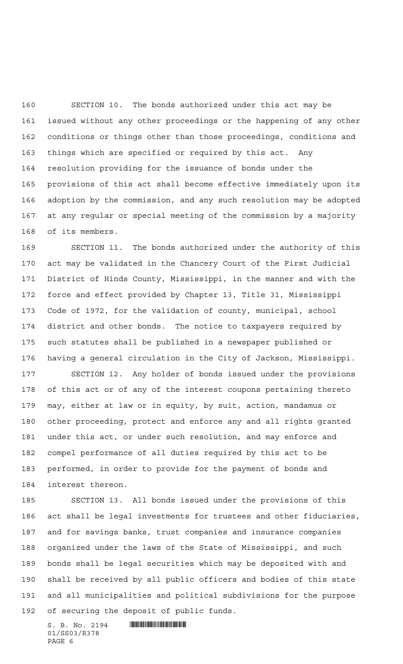SECTION 10. The bonds authorized under this act may be issued without any other proceedings or the happening of any other conditions or things other than those proceedings, conditions and things which are specified or required by this act. Any resolution providing for the issuance of bonds under the provisions of this act shall become effective immediately upon its adoption by the commission, and any such resolution may be adopted at any regular or special meeting of the commission by a majority of its members.

 SECTION 11. The bonds authorized under the authority of this act may be validated in the Chancery Court of the First Judicial District of Hinds County, Mississippi, in the manner and with the force and effect provided by Chapter 13, Title 31, Mississippi Code of 1972, for the validation of county, municipal, school district and other bonds. The notice to taxpayers required by such statutes shall be published in a newspaper published or having a general circulation in the City of Jackson, Mississippi.

 SECTION 12. Any holder of bonds issued under the provisions of this act or of any of the interest coupons pertaining thereto may, either at law or in equity, by suit, action, mandamus or other proceeding, protect and enforce any and all rights granted under this act, or under such resolution, and may enforce and compel performance of all duties required by this act to be performed, in order to provide for the payment of bonds and interest thereon.

 SECTION 13. All bonds issued under the provisions of this act shall be legal investments for trustees and other fiduciaries, and for savings banks, trust companies and insurance companies organized under the laws of the State of Mississippi, and such bonds shall be legal securities which may be deposited with and shall be received by all public officers and bodies of this state and all municipalities and political subdivisions for the purpose of securing the deposit of public funds.

 $S. B. No. 2194$  . The set of  $\mathbb S$  and  $\mathbb S$  and  $\mathbb S$  and  $\mathbb S$ 01/SS03/R378 PAGE 6